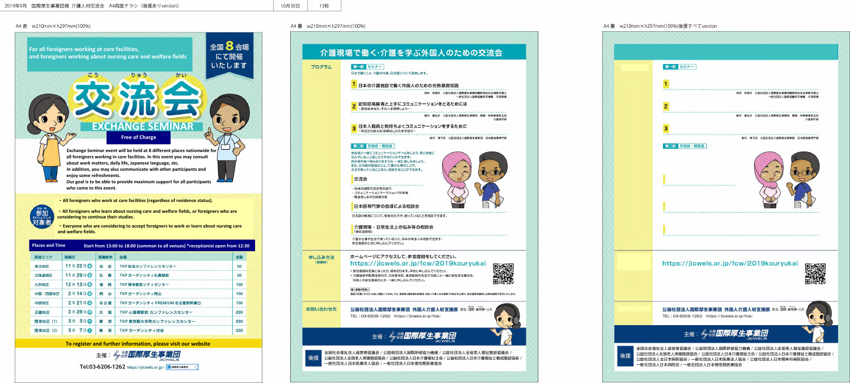**For all foreigners working at care facilities, and foreigners working about nursing care and welfare fields**

## 全国 2 会場 にて開催 いたします



かい

りゅう

**Exchange Seminar event will be held at 8 different places nationwide for all foreigners working in care facilities. In this event you may consult about work matters, daily life, Japanese language, etc. In addition, you may also communicate with other participants and enjoy some refreshments. Our goal is to be able to provide maximum support for all participants who come to this event.**

・**All foreigners who work at care facilities (regardless of residence status).**



 $\sqrt{6}$ 

・**All foreigners who learn about nursing care and welfare fields, or foreigners who are considering to continue their studies.**

・**Everyone who are considering to accept foreigners to work or learn about nursing care and welfare fields.**

| <b>Places and Time</b><br>Start from 13:00 to 18:00 (common to all venues) *receptionist open from 12:30 |                  |        |                             |     |
|----------------------------------------------------------------------------------------------------------|------------------|--------|-----------------------------|-----|
| 開催エリア                                                                                                    | 開催日              | 開催都市   | 会場                          | 定員  |
| 東北地区                                                                                                     | 11月22日           | 仙<br>台 | TKP 仙台カンファレンスセンター           | 50  |
| 北海道地区                                                                                                    | 11月29日           | 礼 幌    | TKP ガーデンシティ札幌駅前             | 50  |
| 九州地区                                                                                                     | 12月13日           | 福<br>岡 | TKP 博多駅前シティセンター             | 100 |
| 中国·四国地区                                                                                                  | 2月14日            | 岡<br>ய | TKP ガーデンシティ岡山               | 100 |
| 中部地区                                                                                                     | 2月21日            | 名古屋    | TKP ガーデンシティ PREMIUM 名古屋新幹線口 | 100 |
| 近畿地区                                                                                                     | 2月28日            | 大<br>阪 | TKP 心斎橋駅前 カンファレンスセンター       | 200 |
| 関東地区 (1)                                                                                                 | 3月 3日 4          | 京<br>東 | TKP 東京駅大手町カンファレンスセンター       | 200 |
| 関東地区 (2)                                                                                                 | 3月<br><b>780</b> | 東<br>亰 | TKP ガーデンシティ渋谷               | 200 |

**To register and further information, please visit our website**

主催:《猫国際厚生 51 **ICWELS** 

Tel:03-6206-1262 https://jicwels.or.jp/ ©国際厚生事業団